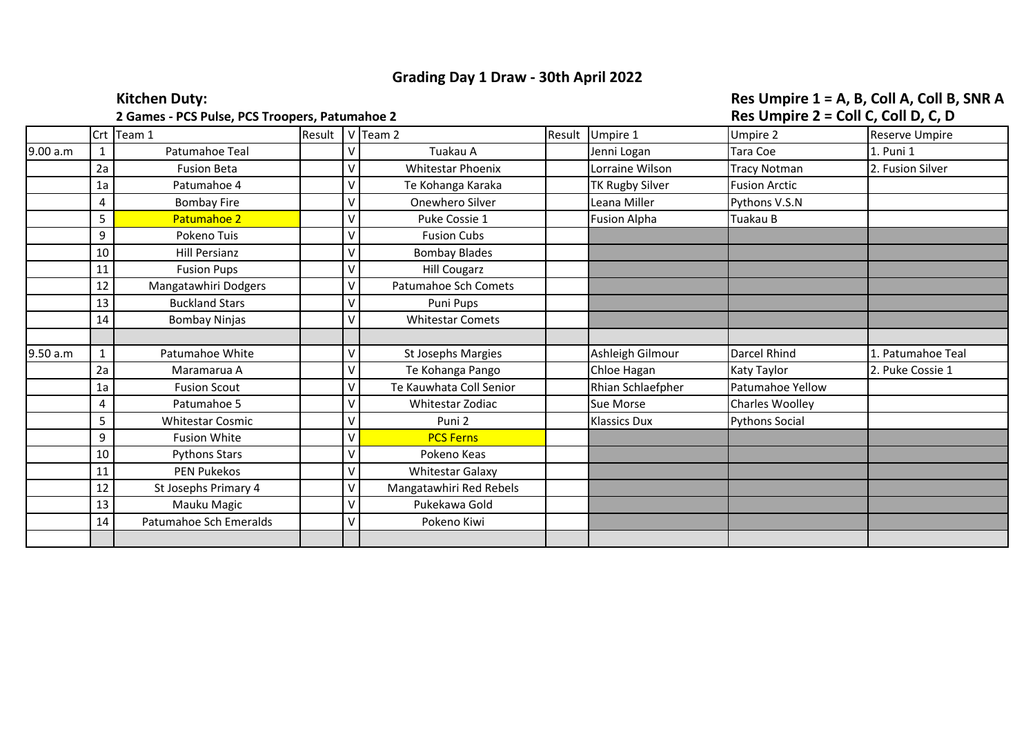## **Grading Day 1 Draw - 30th April 2022**

## **2 Games - PCS Pulse, PCS Troopers, Patumahoe 2**

## Kitchen Duty:<br> **Res Umpire 1 = A, B, Coll A, Coll B, SNR A**<br>
2 Games - PCS Pulse, PCS Troopers, Patumahoe 2

|          |    | Crt Team 1              | Result |   | $V$ Team 2               | Result | Umpire 1            | Umpire 2              | Reserve Umpire    |
|----------|----|-------------------------|--------|---|--------------------------|--------|---------------------|-----------------------|-------------------|
| 9.00 a.m |    | Patumahoe Teal          |        |   | Tuakau A                 |        | Jenni Logan         | Tara Coe              | 1. Puni 1         |
|          | 2a | <b>Fusion Beta</b>      |        |   | <b>Whitestar Phoenix</b> |        | Lorraine Wilson     | <b>Tracy Notman</b>   | 2. Fusion Silver  |
|          | 1a | Patumahoe 4             |        |   | Te Kohanga Karaka        |        | TK Rugby Silver     | <b>Fusion Arctic</b>  |                   |
|          | 4  | <b>Bombay Fire</b>      |        |   | Onewhero Silver          |        | Leana Miller        | Pythons V.S.N         |                   |
|          | 5  | Patumahoe 2             |        |   | Puke Cossie 1            |        | <b>Fusion Alpha</b> | Tuakau B              |                   |
|          | 9  | Pokeno Tuis             |        |   | <b>Fusion Cubs</b>       |        |                     |                       |                   |
|          | 10 | <b>Hill Persianz</b>    |        |   | <b>Bombay Blades</b>     |        |                     |                       |                   |
|          | 11 | <b>Fusion Pups</b>      |        |   | <b>Hill Cougarz</b>      |        |                     |                       |                   |
|          | 12 | Mangatawhiri Dodgers    |        |   | Patumahoe Sch Comets     |        |                     |                       |                   |
|          | 13 | <b>Buckland Stars</b>   |        |   | Puni Pups                |        |                     |                       |                   |
|          | 14 | <b>Bombay Ninjas</b>    |        |   | <b>Whitestar Comets</b>  |        |                     |                       |                   |
|          |    |                         |        |   |                          |        |                     |                       |                   |
| 9.50 a.m |    | Patumahoe White         |        |   | St Josephs Margies       |        | Ashleigh Gilmour    | Darcel Rhind          | 1. Patumahoe Teal |
|          | 2a | Maramarua A             |        |   | Te Kohanga Pango         |        | Chloe Hagan         | Katy Taylor           | 2. Puke Cossie 1  |
|          | 1a | <b>Fusion Scout</b>     |        |   | Te Kauwhata Coll Senior  |        | Rhian Schlaefpher   | Patumahoe Yellow      |                   |
|          | 4  | Patumahoe 5             |        |   | Whitestar Zodiac         |        | Sue Morse           | Charles Woolley       |                   |
|          | 5  | <b>Whitestar Cosmic</b> |        |   | Puni <sub>2</sub>        |        | <b>Klassics Dux</b> | <b>Pythons Social</b> |                   |
|          | 9  | <b>Fusion White</b>     |        |   | <b>PCS Ferns</b>         |        |                     |                       |                   |
|          | 10 | <b>Pythons Stars</b>    |        |   | Pokeno Keas              |        |                     |                       |                   |
|          | 11 | <b>PEN Pukekos</b>      |        |   | <b>Whitestar Galaxy</b>  |        |                     |                       |                   |
|          | 12 | St Josephs Primary 4    |        | v | Mangatawhiri Red Rebels  |        |                     |                       |                   |
|          | 13 | Mauku Magic             |        |   | Pukekawa Gold            |        |                     |                       |                   |
|          | 14 | Patumahoe Sch Emeralds  |        |   | Pokeno Kiwi              |        |                     |                       |                   |
|          |    |                         |        |   |                          |        |                     |                       |                   |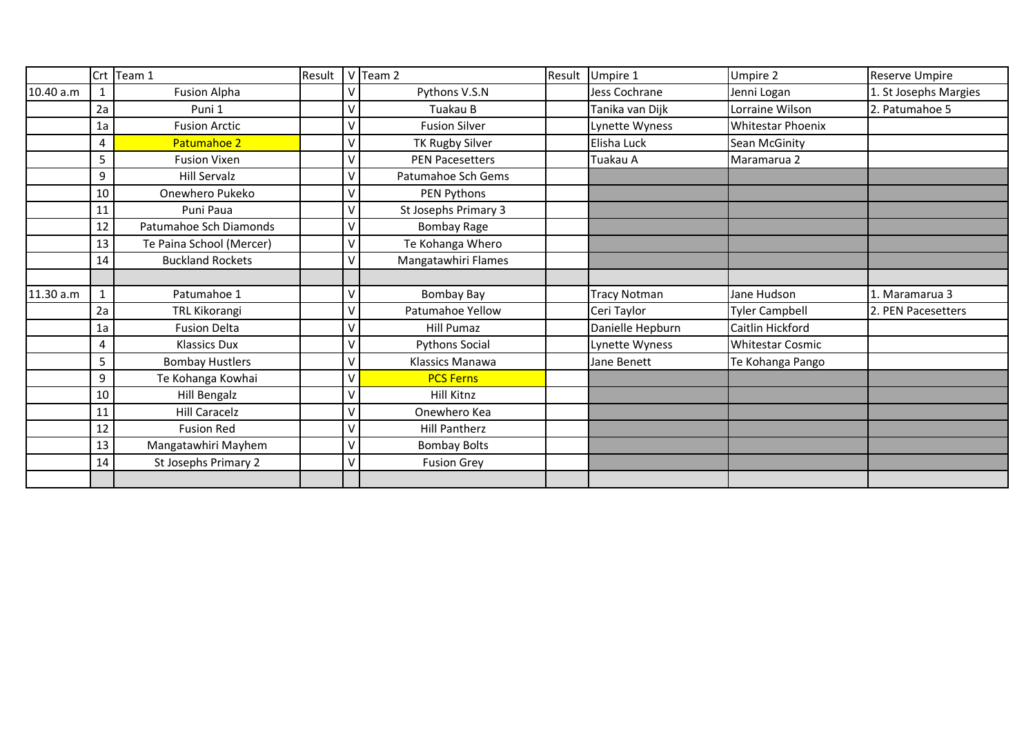|           |        | Crt Team 1               | Result |   | $V$ Team 2             | Result | Umpire 1            | Umpire 2                 | Reserve Umpire        |
|-----------|--------|--------------------------|--------|---|------------------------|--------|---------------------|--------------------------|-----------------------|
| 10.40 a.m | 1      | Fusion Alpha             |        |   | Pythons V.S.N          |        | Jess Cochrane       | Jenni Logan              | 1. St Josephs Margies |
|           | 2a     | Puni 1                   |        |   | Tuakau B               |        | Tanika van Dijk     | Lorraine Wilson          | 2. Patumahoe 5        |
|           | 1a     | <b>Fusion Arctic</b>     |        | V | <b>Fusion Silver</b>   |        | Lynette Wyness      | <b>Whitestar Phoenix</b> |                       |
|           | 4      | Patumahoe 2              |        | V | <b>TK Rugby Silver</b> |        | Elisha Luck         | Sean McGinity            |                       |
|           | 5      | <b>Fusion Vixen</b>      |        | V | <b>PEN Pacesetters</b> |        | Tuakau A            | Maramarua 2              |                       |
|           | 9      | <b>Hill Servalz</b>      |        | V | Patumahoe Sch Gems     |        |                     |                          |                       |
|           | $10\,$ | Onewhero Pukeko          |        | V | PEN Pythons            |        |                     |                          |                       |
|           | 11     | Puni Paua                |        | V | St Josephs Primary 3   |        |                     |                          |                       |
|           | 12     | Patumahoe Sch Diamonds   |        |   | <b>Bombay Rage</b>     |        |                     |                          |                       |
|           | 13     | Te Paina School (Mercer) |        | V | Te Kohanga Whero       |        |                     |                          |                       |
|           | 14     | <b>Buckland Rockets</b>  |        | V | Mangatawhiri Flames    |        |                     |                          |                       |
|           |        |                          |        |   |                        |        |                     |                          |                       |
| 11.30 a.m | 1      | Patumahoe 1              |        | V | Bombay Bay             |        | <b>Tracy Notman</b> | Jane Hudson              | 1. Maramarua 3        |
|           | 2a     | TRL Kikorangi            |        |   | Patumahoe Yellow       |        | Ceri Taylor         | <b>Tyler Campbell</b>    | 2. PEN Pacesetters    |
|           | 1a     | <b>Fusion Delta</b>      |        |   | <b>Hill Pumaz</b>      |        | Danielle Hepburn    | Caitlin Hickford         |                       |
|           | 4      | <b>Klassics Dux</b>      |        |   | <b>Pythons Social</b>  |        | Lynette Wyness      | <b>Whitestar Cosmic</b>  |                       |
|           | 5      | <b>Bombay Hustlers</b>   |        |   | Klassics Manawa        |        | Jane Benett         | Te Kohanga Pango         |                       |
|           | 9      | Te Kohanga Kowhai        |        |   | <b>PCS Ferns</b>       |        |                     |                          |                       |
|           | 10     | Hill Bengalz             |        |   | Hill Kitnz             |        |                     |                          |                       |
|           | 11     | <b>Hill Caracelz</b>     |        |   | Onewhero Kea           |        |                     |                          |                       |
|           | 12     | <b>Fusion Red</b>        |        |   | Hill Pantherz          |        |                     |                          |                       |
|           | 13     | Mangatawhiri Mayhem      |        |   | <b>Bombay Bolts</b>    |        |                     |                          |                       |
|           | 14     | St Josephs Primary 2     |        |   | <b>Fusion Grey</b>     |        |                     |                          |                       |
|           |        |                          |        |   |                        |        |                     |                          |                       |